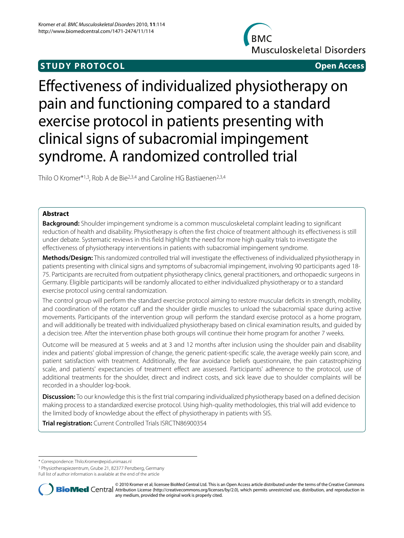## **STUDY PROTOCOL Open Access**

**Musculoskeletal Disorders** 

# Effectiveness of individualized physiotherapy on pain and functioning compared to a standard exercise protocol in patients presenting with clinical signs of subacromial impingement syndrome. A randomized controlled trial

Thilo O Kromer<sup>\*1,3</sup>, Rob A de Bie<sup>2,3,4</sup> and Caroline HG Bastiaenen<sup>2,3,4</sup>

## **Abstract**

**Background:** Shoulder impingement syndrome is a common musculoskeletal complaint leading to significant reduction of health and disability. Physiotherapy is often the first choice of treatment although its effectiveness is still under debate. Systematic reviews in this field highlight the need for more high quality trials to investigate the effectiveness of physiotherapy interventions in patients with subacromial impingement syndrome.

**Methods/Design:** This randomized controlled trial will investigate the effectiveness of individualized physiotherapy in patients presenting with clinical signs and symptoms of subacromial impingement, involving 90 participants aged 18- 75. Participants are recruited from outpatient physiotherapy clinics, general practitioners, and orthopaedic surgeons in Germany. Eligible participants will be randomly allocated to either individualized physiotherapy or to a standard exercise protocol using central randomization.

The control group will perform the standard exercise protocol aiming to restore muscular deficits in strength, mobility, and coordination of the rotator cuff and the shoulder girdle muscles to unload the subacromial space during active movements. Participants of the intervention group will perform the standard exercise protocol as a home program, and will additionally be treated with individualized physiotherapy based on clinical examination results, and guided by a decision tree. After the intervention phase both groups will continue their home program for another 7 weeks.

Outcome will be measured at 5 weeks and at 3 and 12 months after inclusion using the shoulder pain and disability index and patients' global impression of change, the generic patient-specific scale, the average weekly pain score, and patient satisfaction with treatment. Additionally, the fear avoidance beliefs questionnaire, the pain catastrophizing scale, and patients' expectancies of treatment effect are assessed. Participants' adherence to the protocol, use of additional treatments for the shoulder, direct and indirect costs, and sick leave due to shoulder complaints will be recorded in a shoulder log-book.

**Discussion:** To our knowledge this is the first trial comparing individualized physiotherapy based on a defined decision making process to a standardized exercise protocol. Using high-quality methodologies, this trial will add evidence to the limited body of knowledge about the effect of physiotherapy in patients with SIS.

**Trial registration:** Current Controlled Trials ISRCTN86900354

\* Correspondence: Thilo.Kromer@epid.unimaas.nl

Full list of author information is available at the end of the article



<sup>© 2010</sup> Kromer et al; licensee BioMed Central Ltd. This is an Open Access article distributed under the terms of the Creative Commons **Bio Med** Central Attribution License (http://creativecommons.org/licenses/by/2.0), which permits unrestricted use, distribution, and reproduction in any medium, provided the original work is properly cited.

<sup>1</sup> Physiotherapiezentrum, Grube 21, 82377 Penzberg, Germany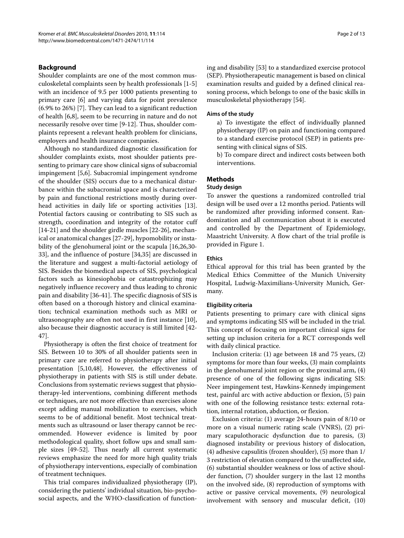## **Background**

Shoulder complaints are one of the most common musculoskeletal complaints seen by health professionals [[1](#page-9-0)[-5](#page-9-1)] with an incidence of 9.5 per 1000 patients presenting to primary care [[6\]](#page-9-2) and varying data for point prevalence (6.9% to 26%) [[7\]](#page-9-3). They can lead to a significant reduction of health [[6](#page-9-2),[8\]](#page-10-0), seem to be recurring in nature and do not necessarily resolve over time [\[9](#page-10-1)-[12\]](#page-10-2). Thus, shoulder complaints represent a relevant health problem for clinicians, employers and health insurance companies.

Although no standardized diagnostic classification for shoulder complaints exists, most shoulder patients presenting to primary care show clinical signs of subacromial impingement [\[5](#page-9-1),[6\]](#page-9-2). Subacromial impingement syndrome of the shoulder (SIS) occurs due to a mechanical disturbance within the subacromial space and is characterized by pain and functional restrictions mostly during over-head activities in daily life or sporting activities [\[13](#page-10-3)]. Potential factors causing or contributing to SIS such as strength, coordination and integrity of the rotator cuff [[14-](#page-10-4)[21](#page-10-5)] and the shoulder girdle muscles [\[22](#page-10-6)-[26\]](#page-10-7), mechanical or anatomical changes [[27](#page-10-8)[-29](#page-10-9)], hypomobility or instability of the glenohumeral joint or the scapula [[16,](#page-10-10)[26,](#page-10-7)[30-](#page-10-11) [33](#page-10-12)], and the influence of posture [\[34](#page-10-13)[,35](#page-10-14)] are discussed in the literature and suggest a multi-factorial aetiology of SIS. Besides the biomedical aspects of SIS, psychological factors such as kinesiophobia or catastrophizing may negatively influence recovery and thus leading to chronic pain and disability [[36](#page-10-15)[-41](#page-10-16)]. The specific diagnosis of SIS is often based on a thorough history and clinical examination; technical examination methods such as MRI or ultrasonography are often not used in first instance [\[10](#page-10-17)], also because their diagnostic accuracy is still limited [\[42-](#page-10-18) [47](#page-10-19)].

Physiotherapy is often the first choice of treatment for SIS. Between 10 to 30% of all shoulder patients seen in primary care are referred to physiotherapy after initial presentation [[5,](#page-9-1)[10,](#page-10-17)[48\]](#page-10-20). However, the effectiveness of physiotherapy in patients with SIS is still under debate. Conclusions from systematic reviews suggest that physiotherapy-led interventions, combining different methods or techniques, are not more effective than exercises alone except adding manual mobilization to exercises, which seems to be of additional benefit. Most technical treatments such as ultrasound or laser therapy cannot be recommended. However evidence is limited by poor methodological quality, short follow ups and small sample sizes [\[49](#page-10-21)-[52\]](#page-11-0). Thus nearly all current systematic reviews emphasize the need for more high quality trials of physiotherapy interventions, especially of combination of treatment techniques.

This trial compares individualized physiotherapy (IP), considering the patients' individual situation, bio-psychosocial aspects, and the WHO-classification of functioning and disability [\[53](#page-11-1)] to a standardized exercise protocol (SEP). Physiotherapeutic management is based on clinical examination results and guided by a defined clinical reasoning process, which belongs to one of the basic skills in musculoskeletal physiotherapy [\[54](#page-11-2)].

#### **Aims of the study**

a) To investigate the effect of individually planned physiotherapy (IP) on pain and functioning compared to a standard exercise protocol (SEP) in patients presenting with clinical signs of SIS.

b) To compare direct and indirect costs between both interventions.

## **Methods**

#### **Study design**

To answer the questions a randomized controlled trial design will be used over a 12 months period. Patients will be randomized after providing informed consent. Randomization and all communication about it is executed and controlled by the Department of Epidemiology, Maastricht University. A flow chart of the trial profile is provided in Figure [1](#page-2-0).

#### **Ethics**

Ethical approval for this trial has been granted by the Medical Ethics Committee of the Munich University Hospital, Ludwig-Maximilians-University Munich, Germany.

#### **Eligibility criteria**

Patients presenting to primary care with clinical signs and symptoms indicating SIS will be included in the trial. This concept of focusing on important clinical signs for setting up inclusion criteria for a RCT corresponds well with daily clinical practice.

Inclusion criteria: (1) age between 18 and 75 years, (2) symptoms for more than four weeks, (3) main complaints in the glenohumeral joint region or the proximal arm, (4) presence of one of the following signs indicating SIS: Neer impingement test, Hawkins-Kennedy impingement test, painful arc with active abduction or flexion, (5) pain with one of the following resistance tests: external rotation, internal rotation, abduction, or flexion.

Exclusion criteria: (1) average 24-hours pain of 8/10 or more on a visual numeric rating scale (VNRS), (2) primary scapulothoracic dysfunction due to paresis, (3) diagnosed instability or previous history of dislocation, (4) adhesive capsulitis (frozen shoulder), (5) more than 1/ 3 restriction of elevation compared to the unaffected side, (6) substantial shoulder weakness or loss of active shoulder function, (7) shoulder surgery in the last 12 months on the involved side, (8) reproduction of symptoms with active or passive cervical movements, (9) neurological involvement with sensory and muscular deficit, (10)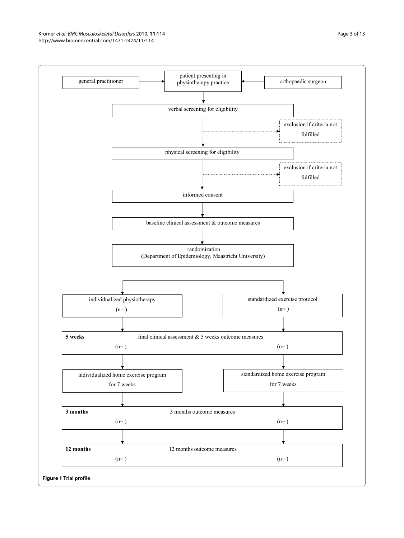<span id="page-2-0"></span>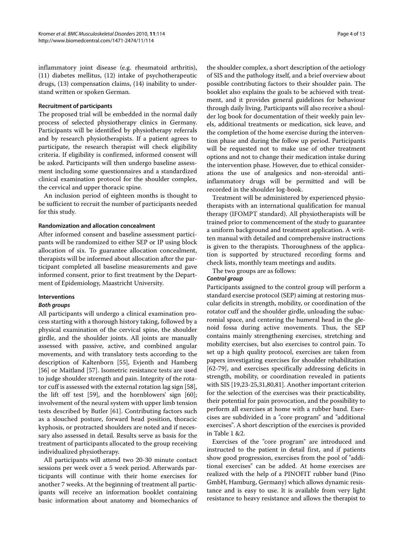inflammatory joint disease (e.g. rheumatoid arthritis), (11) diabetes mellitus, (12) intake of psychotherapeutic drugs, (13) compensation claims, (14) inability to understand written or spoken German.

#### **Recruitment of participants**

The proposed trial will be embedded in the normal daily process of selected physiotherapy clinics in Germany. Participants will be identified by physiotherapy referrals and by research physiotherapists. If a patient agrees to participate, the research therapist will check eligibility criteria. If eligibility is confirmed, informed consent will be asked. Participants will then undergo baseline assessment including some questionnaires and a standardized clinical examination protocol for the shoulder complex, the cervical and upper thoracic spine.

An inclusion period of eighteen months is thought to be sufficient to recruit the number of participants needed for this study.

#### **Randomization and allocation concealment**

After informed consent and baseline assessment participants will be randomized to either SEP or IP using block allocation of six. To guarantee allocation concealment, therapists will be informed about allocation after the participant completed all baseline measurements and gave informed consent, prior to first treatment by the Department of Epidemiology, Maastricht University.

#### **Interventions**

#### **Both groups**

All participants will undergo a clinical examination process starting with a thorough history taking, followed by a physical examination of the cervical spine, the shoulder girdle, and the shoulder joints. All joints are manually assessed with passive, active, and combined angular movements, and with translatory tests according to the description of Kaltenborn [[55\]](#page-11-3), Evjenth and Hamberg [[56\]](#page-11-4) or Maitland [[57\]](#page-11-5). Isometric resistance tests are used to judge shoulder strength and pain. Integrity of the rotator cuff is assessed with the external rotation lag sign [\[58](#page-11-6)], the lift off test [[59\]](#page-11-7), and the hornblowers' sign [\[60](#page-11-8)]; involvement of the neural system with upper limb tension tests described by Butler [[61\]](#page-11-9). Contributing factors such as a slouched posture, forward head position, thoracic kyphosis, or protracted shoulders are noted and if necessary also assessed in detail. Results serve as basis for the treatment of participants allocated to the group receiving individualized physiotherapy.

All participants will attend two 20-30 minute contact sessions per week over a 5 week period. Afterwards participants will continue with their home exercises for another 7 weeks. At the beginning of treatment all participants will receive an information booklet containing basic information about anatomy and biomechanics of

the shoulder complex, a short description of the aetiology of SIS and the pathology itself, and a brief overview about possible contributing factors to their shoulder pain. The booklet also explains the goals to be achieved with treatment, and it provides general guidelines for behaviour through daily living. Participants will also receive a shoulder log book for documentation of their weekly pain levels, additional treatments or medication, sick leave, and the completion of the home exercise during the intervention phase and during the follow up period. Participants will be requested not to make use of other treatment options and not to change their medication intake during the intervention phase. However, due to ethical considerations the use of analgesics and non-steroidal antiinflammatory drugs will be permitted and will be recorded in the shoulder log-book.

Treatment will be administered by experienced physiotherapists with an international qualification for manual therapy (IFOMPT standard). All physiotherapists will be trained prior to commencement of the study to guarantee a uniform background and treatment application. A written manual with detailed and comprehensive instructions is given to the therapists. Thoroughness of the application is supported by structured recording forms and check lists, monthly team meetings and audits.

The two groups are as follows:

#### **Control group**

Participants assigned to the control group will perform a standard exercise protocol (SEP) aiming at restoring muscular deficits in strength, mobility, or coordination of the rotator cuff and the shoulder girdle, unloading the subacromial space, and centering the humeral head in the glenoid fossa during active movements. Thus, the SEP contains mainly strengthening exercises, stretching and mobility exercises, but also exercises to control pain. To set up a high quality protocol, exercises are taken from papers investigating exercises for shoulder rehabilitation [[62](#page-11-10)[-79](#page-11-11)], and exercises specifically addressing deficits in strength, mobility, or coordination revealed in patients with SIS [[19,](#page-10-22)[23-](#page-10-23)[25](#page-10-24)[,31](#page-10-25)[,80](#page-11-12)[,81](#page-11-13)]. Another important criterion for the selection of the exercises was their practicability, their potential for pain provocation, and the possibility to perform all exercises at home with a rubber band. Exercises are subdivided in a "core program" and "additional exercises". A short description of the exercises is provided in Table 1 &2.

Exercises of the "core program" are introduced and instructed to the patient in detail first, and if patients show good progression, exercises from the pool of "additional exercises" can be added. At home exercises are realized with the help of a PINOFIT rubber band (Pino GmbH, Hamburg, Germany) which allows dynamic resistance and is easy to use. It is available from very light resistance to heavy resistance and allows the therapist to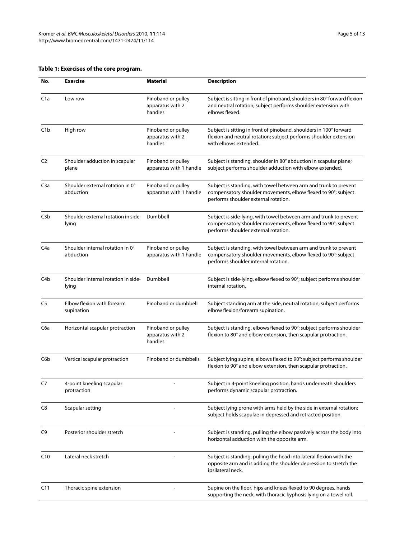## Table 1: Exercises of the core pro

C5 Elbow flexion with forearm supination

| No.            | <b>Exercise</b>                               | <b>Material</b>                                   | <b>Description</b>                                                                                                                                                          |
|----------------|-----------------------------------------------|---------------------------------------------------|-----------------------------------------------------------------------------------------------------------------------------------------------------------------------------|
| C1a            | Low row                                       | Pinoband or pulley<br>apparatus with 2<br>handles | Subject is sitting in front of pinoband, shoulders in 80° forward flexion<br>and neutral rotation; subject performs shoulder extension with<br>elbows flexed.               |
| C1b            | High row                                      | Pinoband or pulley<br>apparatus with 2<br>handles | Subject is sitting in front of pinoband, shoulders in 100° forward<br>flexion and neutral rotation; subject performs shoulder extension<br>with elbows extended.            |
| C <sub>2</sub> | Shoulder adduction in scapular<br>plane       | Pinoband or pulley<br>apparatus with 1 handle     | Subject is standing, shoulder in 80° abduction in scapular plane;<br>subject performs shoulder adduction with elbow extended.                                               |
| C3a            | Shoulder external rotation in 0°<br>abduction | Pinoband or pulley<br>apparatus with 1 handle     | Subject is standing, with towel between arm and trunk to prevent<br>compensatory shoulder movements, elbow flexed to 90°; subject<br>performs shoulder external rotation.   |
| C3b            | Shoulder external rotation in side-<br>lying  | Dumbbell                                          | Subject is side-lying, with towel between arm and trunk to prevent<br>compensatory shoulder movements, elbow flexed to 90°; subject<br>performs shoulder external rotation. |
| C4a            | Shoulder internal rotation in 0°<br>abduction | Pinoband or pulley<br>apparatus with 1 handle     | Subject is standing, with towel between arm and trunk to prevent<br>compensatory shoulder movements, elbow flexed to 90°; subject<br>performs shoulder internal rotation.   |
| C4b            | Shoulder internal rotation in side-<br>lying  | Dumbbell                                          | Subject is side-lying, elbow flexed to 90°; subject performs shoulder<br>internal rotation.                                                                                 |

Pinoband or dumbbell Subject standing arm at the side, neutral rotation; subject performs elbow flexion/forearm supination.

| C <sub>6</sub> a | Horizontal scapular protraction          | Pinoband or pulley<br>apparatus with 2<br>handles | Subject is standing, elbows flexed to 90°; subject performs shoulder<br>flexion to 80° and elbow extension, then scapular protraction.                        |
|------------------|------------------------------------------|---------------------------------------------------|---------------------------------------------------------------------------------------------------------------------------------------------------------------|
| C6b              | Vertical scapular protraction            | Pinoband or dumbbells                             | Subject lying supine, elbows flexed to 90°; subject performs shoulder<br>flexion to 90° and elbow extension, then scapular protraction.                       |
| C <sub>7</sub>   | 4-point kneeling scapular<br>protraction |                                                   | Subject in 4-point kneeling position, hands underneath shoulders<br>performs dynamic scapular protraction.                                                    |
| C <sub>8</sub>   | Scapular setting                         |                                                   | Subject lying prone with arms held by the side in external rotation;<br>subject holds scapulae in depressed and retracted position.                           |
| C <sub>9</sub>   | Posterior shoulder stretch               |                                                   | Subject is standing, pulling the elbow passively across the body into<br>horizontal adduction with the opposite arm.                                          |
| C10              | Lateral neck stretch                     |                                                   | Subject is standing, pulling the head into lateral flexion with the<br>opposite arm and is adding the shoulder depression to stretch the<br>ipsilateral neck. |
| C11              | Thoracic spine extension                 |                                                   | Supine on the floor, hips and knees flexed to 90 degrees, hands<br>supporting the neck, with thoracic kyphosis lying on a towel roll.                         |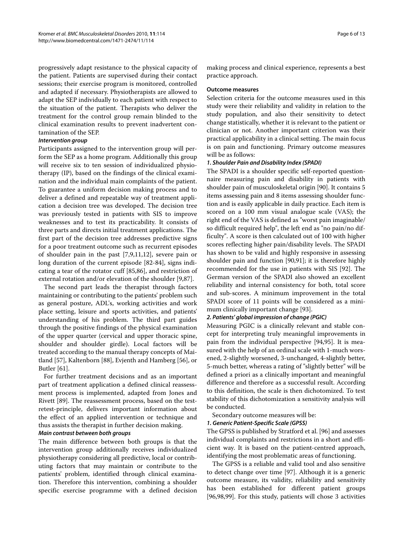progressively adapt resistance to the physical capacity of the patient. Patients are supervised during their contact sessions; their exercise program is monitored, controlled and adapted if necessary. Physiotherapists are allowed to adapt the SEP individually to each patient with respect to the situation of the patient. Therapists who deliver the treatment for the control group remain blinded to the clinical examination results to prevent inadvertent contamination of the SEP.

#### **Intervention group**

Participants assigned to the intervention group will perform the SEP as a home program. Additionally this group will receive six to ten session of individualized physiotherapy (IP), based on the findings of the clinical examination and the individual main complaints of the patient. To guarantee a uniform decision making process and to deliver a defined and repeatable way of treatment application a decision tree was developed. The decision tree was previously tested in patients with SIS to improve weaknesses and to test its practicability. It consists of three parts and directs initial treatment applications. The first part of the decision tree addresses predictive signs for a poor treatment outcome such as recurrent episodes of shoulder pain in the past [\[7](#page-9-3)[,9](#page-10-1)[,11](#page-10-26),[12](#page-10-2)], severe pain or long duration of the current episode [\[82](#page-11-14)-[84\]](#page-11-15), signs indicating a tear of the rotator cuff [\[85](#page-11-16)[,86](#page-11-17)], and restriction of external rotation and/or elevation of the shoulder [[9](#page-10-1),[87](#page-11-18)].

The second part leads the therapist through factors maintaining or contributing to the patients' problem such as general posture, ADL's, working activities and work place setting, leisure and sports activities, and patients' understanding of his problem. The third part guides through the positive findings of the physical examination of the upper quarter (cervical and upper thoracic spine, shoulder and shoulder girdle). Local factors will be treated according to the manual therapy concepts of Maitland [\[57\]](#page-11-5), Kaltenborn [\[88](#page-11-19)], Evjenth and Hamberg [\[56\]](#page-11-4), or Butler [\[61](#page-11-9)].

For further treatment decisions and as an important part of treatment application a defined clinical reassessment process is implemented, adapted from Jones and Rivett [[89\]](#page-11-20). The reassessment process, based on the testretest-principle, delivers important information about the effect of an applied intervention or technique and thus assists the therapist in further decision making.

## **Main contrast between both groups**

The main difference between both groups is that the intervention group additionally receives individualized physiotherapy considering all predictive, local or contributing factors that may maintain or contribute to the patients' problem, identified through clinical examination. Therefore this intervention, combining a shoulder specific exercise programme with a defined decision

making process and clinical experience, represents a best practice approach.

#### **Outcome measures**

Selection criteria for the outcome measures used in this study were their reliability and validity in relation to the study population, and also their sensitivity to detect change statistically, whether it is relevant to the patient or clinician or not. Another important criterion was their practical applicability in a clinical setting. The main focus is on pain and functioning. Primary outcome measures will be as follows:

#### **1. Shoulder Pain and Disability Index (SPADI)**

The SPADI is a shoulder specific self-reported questionnaire measuring pain and disability in patients with shoulder pain of musculoskeletal origin [[90\]](#page-11-21). It contains 5 items assessing pain and 8 items assessing shoulder function and is easily applicable in daily practice. Each item is scored on a 100 mm visual analogue scale (VAS); the right end of the VAS is defined as "worst pain imaginable/ so difficult required help", the left end as "no pain/no difficulty". A score is then calculated out of 100 with higher scores reflecting higher pain/disability levels. The SPADI has shown to be valid and highly responsive in assessing shoulder pain and function [[90,](#page-11-21)[91\]](#page-11-22); it is therefore highly recommended for the use in patients with SIS [[92\]](#page-11-23). The German version of the SPADI also showed an excellent reliability and internal consistency for both, total score and sub-scores. A minimum improvement in the total SPADI score of 11 points will be considered as a minimum clinically important change [\[93](#page-11-24)].

## **2. Patients' global impression of change (PGIC)**

Measuring PGIC is a clinically relevant and stable concept for interpreting truly meaningful improvements in pain from the individual perspective [[94,](#page-11-25)[95\]](#page-12-0). It is measured with the help of an ordinal scale with 1-much worsened, 2-slightly worsened, 3-unchanged, 4-slightly better, 5-much better, whereas a rating of "slightly better" will be defined a priori as a clinically important and meaningful difference and therefore as a successful result. According to this definition, the scale is then dichotomized. To test stability of this dichotomization a sensitivity analysis will be conducted.

Secondary outcome measures will be:

## **1. Generic Patient-Specific Scale (GPSS)**

The GPSS is published by Stratford et al. [\[96](#page-12-1)] and assesses individual complaints and restrictions in a short and efficient way. It is based on the patient-centred approach, identifying the most problematic areas of functioning.

The GPSS is a reliable and valid tool and also sensitive to detect change over time [\[97](#page-12-2)]. Although it is a generic outcome measure, its validity, reliability and sensitivity has been established for different patient groups [[96,](#page-12-1)[98,](#page-12-3)[99\]](#page-12-4). For this study, patients will chose 3 activities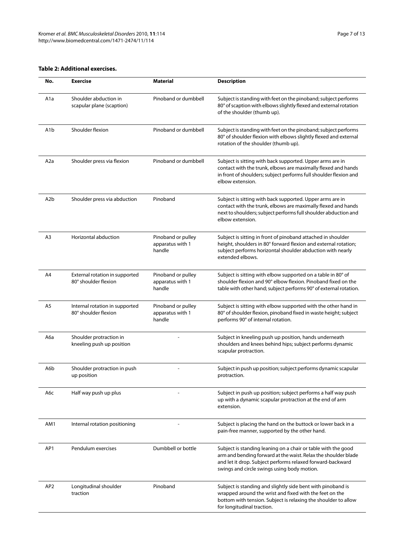## **Table 2: Additional exercises.**

| No.              | <b>Exercise</b>                                        | Material                                         | <b>Description</b>                                                                                                                                                                                                                           |
|------------------|--------------------------------------------------------|--------------------------------------------------|----------------------------------------------------------------------------------------------------------------------------------------------------------------------------------------------------------------------------------------------|
| A1a              | Shoulder abduction in<br>scapular plane (scaption)     | Pinoband or dumbbell                             | Subject is standing with feet on the pinoband; subject performs<br>80° of scaption with elbows slightly flexed and external rotation<br>of the shoulder (thumb up).                                                                          |
| A <sub>1</sub> b | Shoulder flexion                                       | Pinoband or dumbbell                             | Subject is standing with feet on the pinoband; subject performs<br>80° of shoulder flexion with elbows slightly flexed and external<br>rotation of the shoulder (thumb up).                                                                  |
| A2a              | Shoulder press via flexion                             | Pinoband or dumbbell                             | Subject is sitting with back supported. Upper arms are in<br>contact with the trunk, elbows are maximally flexed and hands<br>in front of shoulders; subject performs full shoulder flexion and<br>elbow extension.                          |
| A2b              | Shoulder press via abduction                           | Pinoband                                         | Subject is sitting with back supported. Upper arms are in<br>contact with the trunk, elbows are maximally flexed and hands<br>next to shoulders; subject performs full shoulder abduction and<br>elbow extension.                            |
| A <sub>3</sub>   | Horizontal abduction                                   | Pinoband or pulley<br>apparatus with 1<br>handle | Subject is sitting in front of pinoband attached in shoulder<br>height, shoulders in 80° forward flexion and external rotation;<br>subject performs horizontal shoulder abduction with nearly<br>extended elbows.                            |
| A4               | External rotation in supported<br>80° shoulder flexion | Pinoband or pulley<br>apparatus with 1<br>handle | Subject is sitting with elbow supported on a table in 80° of<br>shoulder flexion and 90° elbow flexion. Pinoband fixed on the<br>table with other hand; subject performs 90° of external rotation.                                           |
| A <sub>5</sub>   | Internal rotation in supported<br>80° shoulder flexion | Pinoband or pulley<br>apparatus with 1<br>handle | Subject is sitting with elbow supported with the other hand in<br>80° of shoulder flexion, pinoband fixed in waste height; subject<br>performs 90° of internal rotation.                                                                     |
| A6a              | Shoulder protraction in<br>kneeling push up position   |                                                  | Subject in kneeling push up position, hands underneath<br>shoulders and knees behind hips; subject performs dynamic<br>scapular protraction.                                                                                                 |
| A6b              | Shoulder protraction in push<br>up position            |                                                  | Subject in push up position; subject performs dynamic scapular<br>protraction.                                                                                                                                                               |
| Абс              | Half way push up plus                                  |                                                  | Subject in push up position; subject performs a half way push<br>up with a dynamic scapular protraction at the end of arm<br>extension.                                                                                                      |
| AM1              | Internal rotation positioning                          |                                                  | Subject is placing the hand on the buttock or lower back in a<br>pain-free manner, supported by the other hand.                                                                                                                              |
| AP1              | Pendulum exercises                                     | Dumbbell or bottle                               | Subject is standing leaning on a chair or table with the good<br>arm and bending forward at the waist. Relax the shoulder blade<br>and let it drop. Subject performs relaxed forward-backward<br>swings and circle swings using body motion. |
| AP <sub>2</sub>  | Longitudinal shoulder<br>traction                      | Pinoband                                         | Subject is standing and slightly side bent with pinoband is<br>wrapped around the wrist and fixed with the feet on the<br>bottom with tension. Subject is relaxing the shoulder to allow<br>for longitudinal traction.                       |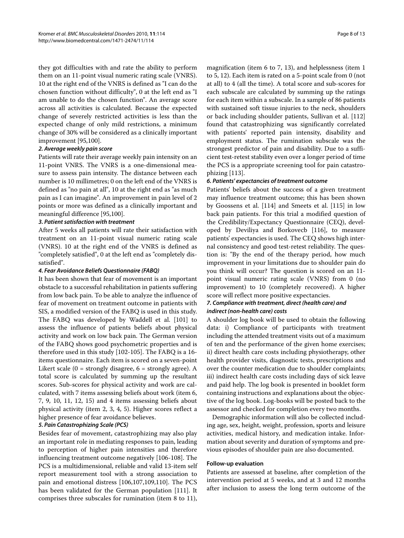they got difficulties with and rate the ability to perform them on an 11-point visual numeric rating scale (VNRS). 10 at the right end of the VNRS is defined as "I can do the chosen function without difficulty", 0 at the left end as "I am unable to do the chosen function". An average score across all activities is calculated. Because the expected change of severely restricted activities is less than the expected change of only mild restrictions, a minimum change of 30% will be considered as a clinically important improvement [\[95](#page-12-0)[,100](#page-12-5)].

## **2. Average weekly pain score**

Patients will rate their average weekly pain intensity on an 11-point VNRS. The VNRS is a one-dimensional measure to assess pain intensity. The distance between each number is 10 millimetres; 0 on the left end of the VNRS is defined as "no pain at all", 10 at the right end as "as much pain as I can imagine". An improvement in pain level of 2 points or more was defined as a clinically important and meaningful difference [[95](#page-12-0),[100](#page-12-5)].

## **3. Patient satisfaction with treatment**

After 5 weeks all patients will rate their satisfaction with treatment on an 11-point visual numeric rating scale (VNRS). 10 at the right end of the VNRS is defined as "completely satisfied", 0 at the left end as "completely dissatisfied".

#### **4. Fear Avoidance Beliefs Questionnaire (FABQ)**

It has been shown that fear of movement is an important obstacle to a successful rehabilitation in patients suffering from low back pain. To be able to analyze the influence of fear of movement on treatment outcome in patients with SIS, a modified version of the FABQ is used in this study. The FABQ was developed by Waddell et al. [\[101](#page-12-6)] to assess the influence of patients beliefs about physical activity and work on low back pain. The German version of the FABQ shows good psychometric properties and is therefore used in this study [[102](#page-12-7)-[105\]](#page-12-8). The FABQ is a 16 items questionnaire. Each item is scored on a seven-point Likert scale  $(0 =$  strongly disagree,  $6 =$  strongly agree). A total score is calculated by summing up the resultant scores. Sub-scores for physical activity and work are calculated, with 7 items assessing beliefs about work (item 6, 7, 9, 10, 11, 12, 15) and 4 items assessing beliefs about physical activity (item 2, 3, 4, 5). Higher scores reflect a higher presence of fear avoidance believes.

#### **5. Pain Catastrophizing Scale (PCS)**

Besides fear of movement, catastrophizing may also play an important role in mediating responses to pain, leading to perception of higher pain intensities and therefore influencing treatment outcome negatively [\[106](#page-12-9)-[108](#page-12-10)]. The PCS is a multidimensional, reliable and valid 13-item self report measurement tool with a strong association to pain and emotional distress [[106,](#page-12-9)[107](#page-12-11),[109](#page-12-12),[110](#page-12-13)]. The PCS has been validated for the German population [\[111\]](#page-12-14). It comprises three subscales for rumination (item 8 to 11),

magnification (item 6 to 7, 13), and helplessness (item 1 to 5, 12). Each item is rated on a 5-point scale from 0 (not at all) to 4 (all the time). A total score and sub-scores for each subscale are calculated by summing up the ratings for each item within a subscale. In a sample of 86 patients with sustained soft tissue injuries to the neck, shoulders or back including shoulder patients, Sullivan et al. [[112](#page-12-15)] found that catastrophizing was significantly correlated with patients' reported pain intensity, disability and employment status. The rumination subscale was the strongest predictor of pain and disability. Due to a sufficient test-retest stability even over a longer period of time the PCS is a appropriate screening tool for pain catastrophizing [[113\]](#page-12-16).

#### **6. Patients' expectancies of treatment outcome**

Patients' beliefs about the success of a given treatment may influence treatment outcome; this has been shown by Goossens et al. [[114\]](#page-12-17) and Smeets et al. [\[115](#page-12-18)] in low back pain patients. For this trial a modified question of the Credibility/Expectancy Questionnaire (CEQ), developed by Deviliya and Borkovecb [[116](#page-12-19)], to measure patients' expectancies is used. The CEQ shows high internal consistency and good test-retest reliability. The question is: "By the end of the therapy period, how much improvement in your limitations due to shoulder pain do you think will occur? The question is scored on an 11 point visual numeric rating scale (VNRS) from 0 (no improvement) to 10 (completely recovered). A higher score will reflect more positive expectancies.

## **7. Compliance with treatment, direct (health care) and indirect (non-health care) costs**

A shoulder log book will be used to obtain the following data: i) Compliance of participants with treatment including the attended treatment visits out of a maximum of ten and the performance of the given home exercises; ii) direct health care costs including physiotherapy, other health provider visits, diagnostic tests, prescriptions and over the counter medication due to shoulder complaints; iii) indirect health care costs including days of sick leave and paid help. The log book is presented in booklet form containing instructions and explanations about the objective of the log book. Log-books will be posted back to the assessor and checked for completion every two months.

Demographic information will also be collected including age, sex, height, weight, profession, sports and leisure activities, medical history, and medication intake. Information about severity and duration of symptoms and previous episodes of shoulder pain are also documented.

#### **Follow-up evaluation**

Patients are assessed at baseline, after completion of the intervention period at 5 weeks, and at 3 and 12 months after inclusion to assess the long term outcome of the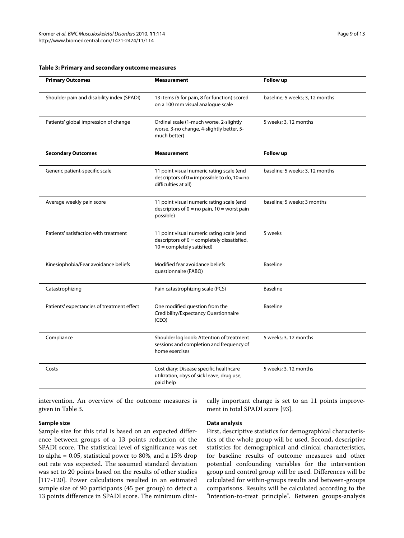#### **Table 3: Primary and secondary outcome measures**

| <b>Primary Outcomes</b>                    | <b>Measurement</b>                                                                                                         | <b>Follow up</b>                |  |
|--------------------------------------------|----------------------------------------------------------------------------------------------------------------------------|---------------------------------|--|
| Shoulder pain and disability index (SPADI) | 13 items (5 for pain, 8 for function) scored<br>on a 100 mm visual analogue scale                                          | baseline; 5 weeks; 3, 12 months |  |
| Patients' global impression of change      | Ordinal scale (1-much worse, 2-slightly<br>worse, 3-no change, 4-slightly better, 5-<br>much better)                       | 5 weeks; 3, 12 months           |  |
| <b>Secondary Outcomes</b>                  | Measurement                                                                                                                | <b>Follow up</b>                |  |
| Generic patient-specific scale             | 11 point visual numeric rating scale (end<br>descriptors of $0 =$ impossible to do, $10 =$ no<br>difficulties at all)      | baseline; 5 weeks; 3, 12 months |  |
| Average weekly pain score                  | 11 point visual numeric rating scale (end<br>descriptors of $0 =$ no pain, $10 =$ worst pain<br>possible)                  | baseline; 5 weeks; 3 months     |  |
| Patients' satisfaction with treatment      | 11 point visual numeric rating scale (end<br>descriptors of $0 =$ completely dissatisfied,<br>$10 =$ completely satisfied) | 5 weeks                         |  |
| Kinesiophobia/Fear avoidance beliefs       | Modified fear avoidance beliefs<br>questionnaire (FABQ)                                                                    | <b>Baseline</b>                 |  |
| Catastrophizing                            | Pain catastrophizing scale (PCS)                                                                                           | <b>Baseline</b>                 |  |
| Patients' expectancies of treatment effect | One modified question from the<br>Credibility/Expectancy Questionnaire<br>(CEQ)                                            | <b>Baseline</b>                 |  |
| Compliance                                 | Shoulder log book: Attention of treatment<br>sessions and completion and frequency of<br>home exercises                    | 5 weeks; 3, 12 months           |  |
| Costs                                      | Cost diary: Disease specific healthcare<br>utilization, days of sick leave, drug use,<br>paid help                         | 5 weeks; 3, 12 months           |  |

intervention. An overview of the outcome measures is given in Table 3.

#### **Sample size**

Sample size for this trial is based on an expected difference between groups of a 13 points reduction of the SPADI score. The statistical level of significance was set to alpha = 0.05, statistical power to 80%, and a 15% drop out rate was expected. The assumed standard deviation was set to 20 points based on the results of other studies [[117-](#page-12-20)[120\]](#page-12-21). Power calculations resulted in an estimated sample size of 90 participants (45 per group) to detect a 13 points difference in SPADI score. The minimum clini-

#### **Data analysis**

ment in total SPADI score [\[93](#page-11-24)].

First, descriptive statistics for demographical characteristics of the whole group will be used. Second, descriptive statistics for demographical and clinical characteristics, for baseline results of outcome measures and other potential confounding variables for the intervention group and control group will be used. Differences will be calculated for within-groups results and between-groups comparisons. Results will be calculated according to the "intention-to-treat principle". Between groups-analysis

cally important change is set to an 11 points improve-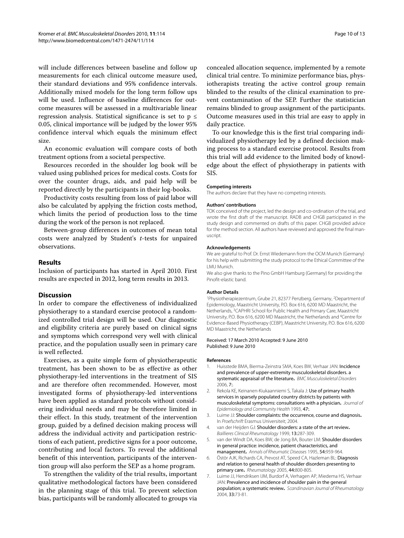will include differences between baseline and follow up measurements for each clinical outcome measure used, their standard deviations and 95% confidence intervals. Additionally mixed models for the long term follow ups will be used. Influence of baseline differences for outcome measures will be assessed in a multivariable linear regression analysis. Statistical significance is set to  $p \leq$ 0.05, clinical importance will be judged by the lower 95% confidence interval which equals the minimum effect size.

An economic evaluation will compare costs of both treatment options from a societal perspective.

Resources recorded in the shoulder log book will be valued using published prices for medical costs. Costs for over the counter drugs, aids, and paid help will be reported directly by the participants in their log-books.

Productivity costs resulting from loss of paid labor will also be calculated by applying the friction costs method, which limits the period of production loss to the time during the work of the person is not replaced.

Between-group differences in outcomes of mean total costs were analyzed by Student's *t*-tests for unpaired observations.

#### **Results**

Inclusion of participants has started in April 2010. First results are expected in 2012, long term results in 2013.

#### **Discussion**

In order to compare the effectiveness of individualized physiotherapy to a standard exercise protocol a randomized controlled trial design will be used. Our diagnostic and eligibility criteria are purely based on clinical signs and symptoms which correspond very well with clinical practice, and the population usually seen in primary care is well reflected.

Exercises, as a quite simple form of physiotherapeutic treatment, has been shown to be as effective as other physiotherapy-led interventions in the treatment of SIS and are therefore often recommended. However, most investigated forms of physiotherapy-led interventions have been applied as standard protocols without considering individual needs and may be therefore limited in their effect. In this study, treatment of the intervention group, guided by a defined decision making process will address the individual activity and participation restrictions of each patient, predictive signs for a poor outcome, contributing and local factors. To reveal the additional benefit of this intervention, participants of the intervention group will also perform the SEP as a home program.

To strengthen the validity of the trial results, important qualitative methodological factors have been considered in the planning stage of this trial. To prevent selection bias, participants will be randomly allocated to groups via

concealed allocation sequence, implemented by a remote clinical trial centre. To minimize performance bias, physiotherapists treating the active control group remain blinded to the results of the clinical examination to prevent contamination of the SEP. Further the statistician remains blinded to group assignment of the participants. Outcome measures used in this trial are easy to apply in daily practice.

To our knowledge this is the first trial comparing individualized physiotherapy led by a defined decision making process to a standard exercise protocol. Results from this trial will add evidence to the limited body of knowledge about the effect of physiotherapy in patients with SIS.

#### **Competing interests**

The authors declare that they have no competing interests.

#### **Authors' contributions**

TOK conceived of the project, led the design and co-ordination of the trial, and wrote the first draft of the manuscript. RADB and CHGB participated in the study design and commented on drafts of this paper. CHGB provided advice for the method section. All authors have reviewed and approved the final manuscript.

#### **Acknowledgements**

We are grateful to Prof. Dr. Ernst Wiedemann from the OCM Munich (Germany) for his help with submitting the study protocol to the Ethical Committee of the LMU Munich.

We also give thanks to the Pino GmbH Hamburg (Germany) for providing the Pinofit-elastic band.

#### **Author Details**

1Physiotherapiezentrum, Grube 21, 82377 Penzberg, Germany, 2Department of Epidemiology, Maastricht University, P.O. Box 616, 6200 MD Maastricht, the Netherlands, 3CAPHRI School for Public Health and Primary Care, Maastricht University, P.O. Box 616, 6200 MD Maastricht, the Netherlands and 4Centre for Evidence-Based Physiotherapy (CEBP), Maastricht University, P.O. Box 616, 6200 MD Maastricht, the Netherlands

#### Received: 17 March 2010 Accepted: 9 June 2010 Published: 9 June 2010

#### **References**

- <span id="page-9-0"></span>1. Huisstede BMA, Bierma-Zeinstra SMA, Koes BW, Verhaar JAN: Incidence and prevalence of upper-extremity musculoskeletal disorders. a systematic appraisal of the literature**.** BMC Musculoskeletal Disorders  $2006, 7$
- 2. Rekola KE, Keinanen-Kiukaanniemi S, Takala J: Use of primary health services in sparsely populated country districts by patients with musculoskeletal symptoms: consultations with a physician**.** Journal of Epidemiology and Community Health 1993, 47:.
- 3. Luime JJ: Shoulder complaints: the occurrence, course and diagnosis**.** In Proefschrift Erasmus Universiteit; 2004.
- 4. van der Heijden GJ: Shoulder disorders: a state of the art review**.** Baillieres Clinical Rheumatology 1999, 13:287-309.
- <span id="page-9-1"></span>5. van der Windt DA, Koes BW, de Jong BA, Bouter LM: Shoulder disorders in general practice: incidence, patient characteristics, and management**.** Annals of Rheumatic Diseases 1995, 54:959-964.
- <span id="page-9-2"></span>6. Östör AJK, Richards CA, Prevost AT, Speed CA, Hazleman BL: Diagnosis and relation to general health of shoulder disorders presenting to primary care**.** Rheumatology 2005, 44:800-805.
- <span id="page-9-3"></span>7. Luime JJ, Hendriksen IJM, Burdorf A, Verhagen AP, Miedema HS, Verhaar JAN: Prevalence and incidence of shoulder pain in the general population; a systematic review**.** Scandinavian Journal of Rheumatology 2004, 33:73-81.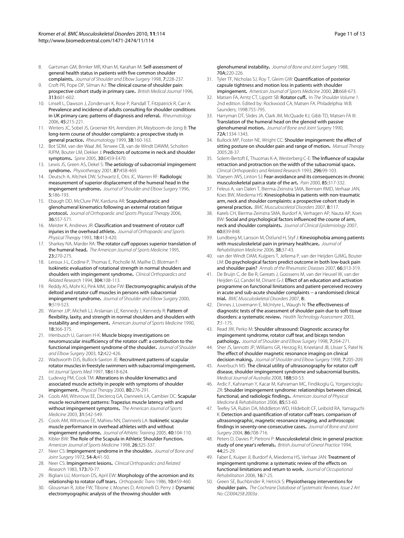- <span id="page-10-0"></span>8. Gartsman GM, Brinker MR, Khan M, Karahan M: Self-assessment of general health status in patients with five common shoulder complaints**.** Journal of Shoulder and Elbow Surgery 1998, 7:228-237.
- <span id="page-10-1"></span>9. Croft PR, Pope DP, Silman AJ: The clinical course of shoulder pain: prospective cohort study in primary care**.** British Medical Journal 1996, 313:601-602.
- <span id="page-10-17"></span>10. Linsell L, Dawson J, Zondervan K, Rose P, Randall T, Fitzpatrick R, Carr A: Prevalence and incidence of adults consulting for shoulder conditions in UK primary care; patterns of diagnosis and referral**.** Rheumatology 2006, 45:215-221.
- <span id="page-10-26"></span>11. Winters JC, Sobel JS, Groenier KH, Arendzen JH, Meyboom-de Jong B: The long-term course of shoulder complaints: a prospective study in general practice**.** Rheumatology 1999, 38:160-163.
- <span id="page-10-2"></span>12. Bot SDM, van der Waal JM, Terwee CB, van de Windt DAWM, Scholten RJPM, Bouter LM, Dekker J: Predictors of outcome in neck and shoulder symptoms**.** Spine 2005, 30:E459-E470.
- <span id="page-10-3"></span>13. Lewis JS, Green AS, Dekel S: The aetiology of subacromial impingement syndrome**.** Physiotherapy 2001, 87:458-469.
- <span id="page-10-4"></span>14. Deutsch A, Altchek DW, Schwartz E, Otis JC, Warren RF: Radiologic measurement of superior displacement of the humeral head in the impingement syndrome**.** Journal of Shoulder and Elbow Surgery 1996, 5:186-193.
- 15. Ebaugh DD, McClure PW, Karduna AR: Scapulotharacic and glenohumeral kinematics following an external rotation fatigue protocol**.** Journal of Orthopaedic and Sports Physical Therapy 2006, 36:557-571.
- <span id="page-10-10"></span>16. Meister K, Andrews JR: Classification and treatment of rotator cuff injuries in the overhead athlete**.** Journal of Orthopaedic and Sports Physical Therapy 1993, 18:413-420.
- 17. Sharkey NA, Marder RA: The rotator cuff opposes superior translation of the humeral head**.** The American Journal of Sports Medicine 1995, 23:270-275.
- 18. Leroux J-L, Codine P, Thomas E, Pocholle M, Mailhe D, Blotman F: Isokinetic evaluation of rotational strength in normal shoulders and shoulders with impingement syndrome**.** Clinical Orthopaedics and Related Research 1994, 304:108-113.
- <span id="page-10-22"></span>19. Reddy AS, Mohr KJ, Pink MM, Jobe FW: Electromyographic analysis of the deltoid and rotator cuff muscles in persons with subacromial impingement syndrome**.** Journal of Shoulder and Elbow Surgery 2000, 9:519-523.
- 20. Warner JJP, Micheli LJ, Arslanian LE, Kennedy J, Kennedy R: Pattern of flexibility, laxity, and strength in normal shoulders and shoulders with instability and impingement**.** American Journal of Sports Medicine 1990, 18:366-375.
- <span id="page-10-5"></span>21. Irlenbusch U, Gansen H-K: Muscle biopsy investigations on neuromuscular insufficiency of the rotator cuff: a contribution to the functional impingement syndrome of the shoulder**.** Journal of Shoulder and Elbow Surgery 2003, 12:422-426.
- <span id="page-10-6"></span>22. Wadsworth DJS, Bullock-Saxton JE: Recruitment patterns of scapular rotator muscles in freestyle swimmers with subacromial impingement**.** Int Journal Sports Med 1997 18:618-624
- <span id="page-10-23"></span>23. Ludewig PM, Cook TM: Alterations in shoulder kinematics and associated muscle activity in people with symptoms of shoulder impingement**.** Physical Therapy 2000, 80:276-291.
- 24. Cools AM, Witvrouw EE, Declercq GA, Danneels LA, Cambier DC: Scapular muscle recruitment patterns: Trapezius muscle latency with and without impingement symptoms**.** The American Journal of Sports Medicine 2003, 31:542-549.
- <span id="page-10-24"></span>25. Cools AM, Witvrouw EE, Mahieu NN, Danneels LA: Isokinetic scapular muscle performance in overhead athletes with and without impingement syndrome**.** Journal of Athletic Training 2005, 40:104-110.
- <span id="page-10-7"></span>26. Kibler BW: The Role of the Scapula in Athletic Shoulder Function**.** American Journal of Sports Medicine 1998, 26:325-337.
- <span id="page-10-8"></span>27. Neer CS: Impingement syndrome in the shoulder**.** Journal of Bone and Joint Surgery 1972, 54-A:41-50.
- 28. Neer CS: Impingement lesions**.** Clinical Orthopaedics and Related Research 1983, 173:70-77.
- <span id="page-10-9"></span>29. Bigliani LU, Morrison DS, April EW: Morphology of the acromion and its relationship to rotator cuff tears**.** Orthopaedic Trans 1986, 10:459-460.
- <span id="page-10-11"></span>30. Glousman R, Jobe FW, Tibone J, Moynes D, Antonelli D, Perry J: Dynamic electromyographic analysis of the throwing shoulder with

glenohumeral instability**.** Journal of Bone and Joint Surgery 1988, 70A:220-226.

- <span id="page-10-25"></span>31. Tyler TF, Nicholas SJ, Roy T, Gleim GW: Quantification of posterior capsule tightness and motion loss in patients with shoulder impingement**.** American Journal of Sports Medicine 2000, 28:668-673.
- 32. Matsen FA, Arntz CT, Lippitt SB: Rotator cuff**.** In The Shoulder Volume 1. 2nd edition. Edited by: Rockwood CA, Matsen FA. Philadelphia: W.B. Saunders; 1998:755-795.
- <span id="page-10-12"></span>33. Harryman DT, Slides JA, Clark JM, McQuade KJ, Gibb TD, Matsen FA III: Translation of the humeral head on the glenoid with passive glenohumeral motion**.** Journal of Bone and Joint Surgery 1990, 72A:1334-1343.
- <span id="page-10-13"></span>34. Bullock MP, Foster NE, Wright CC: Shoulder impingement: the effect of sitting posture on shoulder pain and range of motion**.** Manual Therapy 2005:28-37.
- <span id="page-10-14"></span>35. Solem-Bertoft E, Thuomas K-A, Westerberg C-E: The Influence of scapular retraction and protraction on the width of the subacromial space**.** Clinical Orthopaedics and Related Research 1993, 296:99-103.
- <span id="page-10-15"></span>36. Vlaeyen JWS, Linton SJ: Fear-avoidance and its consequences in chronic musculoskeletal pain:a state of the art**.** Pain 2000, 85:317-332.
- 37. Feleus A, van Dalen T, Bierma-Zeinstra SMA, Bernsen RMD, Verhaar JAN, Koes BW, Miedema HS: Kinesiophobia in patients with non-traumatic arm, neck and shoulder complaints: a prospective cohort study in general practice**.** BMC Musculosceletal Disorders 2007, 8:117.
- 38. Karels CH, Bierma-Zeinstra SMA, Burdorf A, Verhagen AP, Nauta AP, Koes BW: Social and psychological factors influenced the course of arm, neck and shoulder complaints**.** Journal of Clinical Epidemiology 2007, 60:839-848.
- 39. Lundberg M, Larsson M, Östlund H, Styf J: Kinesiophobia among patients with musculoskeletal pain in primary healthcare**.** Journal of Rehabilitation Medicine 2006, 38:37-43.
- 40. van der Windt DAM, Kuijpers T, Jellema P, van der Heijden GJMG, Bouter LM: Do psychological factors predict outcome in both low-back pain and shoulder pain? Annals of the Rheumatic Diseases 2007, 66:313-319.
- <span id="page-10-16"></span>41. De Bruijn C, de Bie R, Gereats J, Goossens M, van der Heuvel W, van der Heiiden GJ, Candel M, Dinant G-J: Effect of an education and activation programme on functional limitations and patient-perceived recovery in acute and sub-acute shoulder complaints -- a randomised clinical trial**.** BMC Musculoskeletal Disorders 2007, 8:.
- <span id="page-10-18"></span>42. Dinnes J, Lovemann E, McIntyre L, Waugh N: The effectiveness of diagnostic tests of the assessment of shoulder pain due to soft tissue disorders: a systematic review**.** Health Technology Assessment 2003, 7:1-175.
- 43. Read JW, Perko M: Shoulder ultrasound: Diagnostic accuracy for impingement syndrome, rotator cuff tear, and biceps tendon pathology**.** Journal of Shoulder and Elbow Surgery 1998, 7:264-271.
- 44. Sher JS, lannotti JP, Williams GR, Herzog RJ, Kneeland JB, Llisser S, Patel N: The effect of shoulder magnetic resonance imaging on clinical decision making**.** Journal of Shoulder and Elbow Surgery 1998, 7:205-209.
- 45. Awerbuch MS: The clinical utility of ultrasonography for rotator cuff disease, shoulder impingement syndrome and subacromial bursitis**.** Medical Journal of Australia 2008, 188:50-53.
- 46. Ardic F, Kahraman Y, Kacar M, Kahraman MC, Findikoglu G, Yorgancioglu ZR: Shoulder impingement syndrome: relationships between clinical, functional, and radiologic findings**.** American Journal of Physical Medicine & Rehabilitation 2006, 85:53-60.
- <span id="page-10-19"></span>47. Teefey SA, Rubin DA, Middleton WD, Hildebolt CF, Leibold RA, Yamaguchi K: Detection and quantification of rotator cuff tears. comparison of ultrasonographic, magnetic resonance imaging, and arthroscopic findings in seventy-one consecutive cases**.** Journal of Bone and Joint Surgery 2004, 86:708-716.
- <span id="page-10-20"></span>48. Peters D, Davies P, Pietroni P: Musculoskeletal clinic in general practice: study of one year's referrals**.** British Journal of Gneral Practice 1994, 44:25-29.
- <span id="page-10-21"></span>49. Faber E, Kuiper JI, Burdorf A, Miedema HS, Verhaar JAN: Treatment of impingement syndrome: a systematic review of the effects on functional limitations and return to work**.** Journal of Occupational Rehabilitation 2006, 16:7-25.
- 50. Green SE, Buchbinder R, Hetrick S: Physiotherapy interventions for shoulder pain**.** The Cochrane Database of Systematic Reviews, Issue 2 Art No: CD004258 2003a .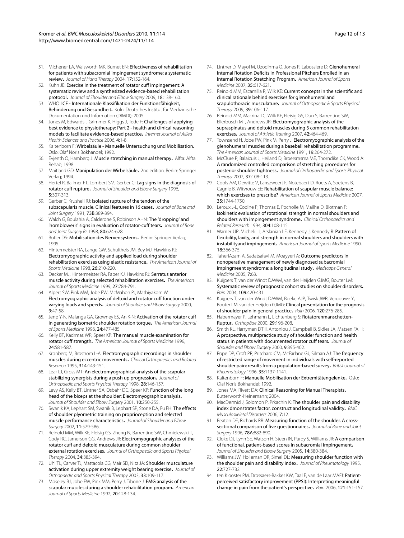- 51. Michener LA, Walsworth MK, Burnet EN: Effectiveness of rehabilitation for patients with subacromial impingement syndrome: a systematic review**.** Journal of Hand Therapy 2004, 17:152-164.
- <span id="page-11-0"></span>52. Kuhn JE: Exercise in the treatment of rotator cuff impingement: A systematic review and a synthesized evidence-based rehabilitation protocol**.** Journal of Shoulder and Elbow Surgery 2009, 18:138-160.
- <span id="page-11-1"></span>53. WHO: ICF - Internationale Klassifikation der Funktionsfähigkeit, Behinderung und Gesundheit**.** Köln: Deutsches Institut für Medizinische Dokumentation und Information (DIMDI); 2005.
- <span id="page-11-2"></span>54. Jones M, Edwards I, Grimmer K, Higgs J, Tede F: Challenges of applying best evidence to physiotherapy: Part 2 - health and clinical reasoning models to facilitate evidence-based practice**.** Internet Journal of Allied Health Sciences and Practice 2006, 4:1-8.
- <span id="page-11-3"></span>55. Kaltenborn F: Wirbelsäule - Manuelle Untersuchung und Mobilisation**.** Oslo: Olaf Noris Bokhandel; 1992.
- <span id="page-11-4"></span>56. Evjenth O, Hamberg J: Muscle stretching in manual therapy**.** Alfta: Alfta Rehab; 1998.
- <span id="page-11-5"></span>57. Maitland GD: Manipulation der Wirbelsäule**.** 2nd edition. Berlin: Springer Verlag; 1994.
- <span id="page-11-6"></span>58. Hertel R, Ballmer FT, Lombert SM, Gerber C: Lag signs in the diagnosis of rotator cuff rupture**.** Journal of Shoulder and Elbow Surgery 1996, 5:307-313.
- <span id="page-11-7"></span>59. Gerber C, Krushell RJ: Isolated rupture of the tendon of the subscapularis muscle. Clinical features in 16 cases**.** Journal of Bone and Joint Surgery 1991, 73B:389-394.
- <span id="page-11-8"></span>60. Walch G, Boulahia A, Calderone S, Robinson AHN: The 'dropping' and 'hornblower's' signs in evaluation of rotator-cuff tears**.** Journal of Bone and Joint Surgery Br 1998, 80:624-628.
- <span id="page-11-9"></span>61. Butler DS: Mobilisation des Nervensystems**.** Berlin: Springer Verlag; 1995.
- <span id="page-11-10"></span>62. Hintermeister RA, Lange GW, Schultheis JM, Bey MJ, Hawkins RJ: Electromyographic activity and applied load during shoulder rehabilitation exercises using elastic resistance**.** The American Journal of Sports Medicine 1998, 26:210-220.
- 63. Decker MJ, Hintermeister RA, Faber KJ, Hawkins RJ: Serratus anterior muscle activity during selected rehabilitation exercises**.** The American Journal of Sports Medicine 1999, 27:784-791.
- 64. Alpert SW, Pink MM, Jobe FW, McMahon PJ, Mathiyakom W: Electromyographic analysis of deltoid and rotator cuff function under varying loads and speeds**.** Journal of Shoulder and Elbow Surgery 2000, 9:47-58.
- 65. Jenp Y-N, Malanga GA, Growney ES, An K-N: Activation of the rotator cuff in generating isometric shoulder rotation torque**.** The American Journal of Sports Medicine 1996, 24:477-485.
- 66. Kelly BT, Kadrmas WR, Speer KP: The manual muscle examination for rotator cuff strength**.** The American Journal of Sports Medicine 1996, 24:581-587.
- 67. Kronberg M, Broström L-A: Electromyographic recordings in shoulder muscles during eccentric movements**.** Clinical Orthopaedics and Related Research 1995, 314:143-151.
- 68. Lear LJ, Gross MT: An electromyographical analysis of the scapular stabilizing synergists during a push up progression**.** Journal of Orthopaedic and Sports Physical Therapy 1998, 28:146-157.
- 69. Levy AS, Kelly BT, Lintner SA, Osbahr DC, Speer KP: Function of the long head of the biceps at the shoulder: Electromyographic analysis**.** Journal of Shoulder and Elbow Surgery 2001, 10:250-255.
- 70. Swanik KA, Lephart SM, Swanik B, Lephart SP, Stone DA, Fu FH: The effects of shoulder plyometric training on proprioception and selected muscle performance characteristics**.** Journal of Shoulder and Elbow Surgery 2002, 11:579-586.
- 71. Reinold MM, Wilk KE, Fleisig GS, Zheng N, Barrentine SW, Chmielewski T, Cody RC, Jamerson GG, Andrews JR: Electromyographic analyses of the rotator cuff and deltoid musculature during common shoulder external rotation exercises**.** Journal of Orthopaedic and Sports Physical Therapy 2004, 34:385-394.
- 72. Uhl TL, Carver TJ, Mattacola CG, Mair SD, Nitz JA: Shoulder musculature activation during upper extremity weight bearing exercise**.** Journal of Orthopaedic and Sports Physical Therapy 2003, 33:109-117.
- 73. Moseley BJ, Jobe FW, Pink MM, Perry J, Tibone J: EMG analysis of the scapular muscles during a shoulder rehabilitation program**.** American Journal of Sports Medicine 1992, 20:128-134.
- 74. Lintner D, Mayol M, Uzodinma O, Jones R, Labossiere D: Glenohumeral Internal Rotation Deficits in Professional Pitchers Enrolled in an Internal Rotation Stretching Program**.** American Journal of Sports Medicine 2007, 35:617-621.
- 75. Reinold MM, Escamilla R, Wilk KE: Current concepts in the scientific and clinical rationale behind exercises for glenohumeral and scapulothoracic musculature**.** Journal of Orthopaedic & Sports Physical Therapy 2009, 39:106-117.
- 76. Reinold MM, Macrina LC, Wilk KE, Fleisig GS, Dun S, Barrentine SW, Ellerbusch MT, Andrews JR: Electromyographic analysis of the supraspinatus and deltoid muscles during 3 common rehabilitation exercises**.** Journal of Athletic Training 2007, 42:464-469.
- 77. Townsend H, Jobe FW, Pink M, Perry J: Electromyographic analysis of the glenohumeral muscles during a baseball rehabilitation programme**.** The American Journal of Sports Medicine 1991, 19:264-272.
- 78. McClure P, Balaicuis J, Heiland D, Broersmsma ME, Thorndike CK, Wood A: A randomized controlled comparison of stretching procedures for posterior shoulder tightness**.** Journal of Orthopaedic and Sports Physical Therapy 2007, 37:108-113.
- <span id="page-11-11"></span>79. Cools AM, Dewitte V, Lanszweert F, Notebaert D, Roets A, Soetens B, Cagnie B, Witvrouw EE: Rehabilitation of scapular muscle balance: which exercises to prescribe? American Journal of Sports Medicine 2007, 35:1744-1750.
- <span id="page-11-12"></span>80. Leroux J-L, Codine P, Thomas E, Pocholle M, Mailhe D, Blotman F: Isokinetic evaluation of rotational strength in normal shoulders and shoulders with impingement syndrome**.** Clinical Orthopaedics and Related Research 1994, 304:108-115.
- <span id="page-11-13"></span>81. Warner JJP, Micheli LJ, Arslanian LE, Kennedy J, Kennedy R: Pattern of flexibility, laxity, and strength in normal shoulders and shoulders with instabilityand impingement**.** American Journal of Sports Medicine 1990, 18:366-375.
- <span id="page-11-14"></span>82. TaheriAzam A, Sadatsafavi M, Moayyeri A: Outcome predictors in nonoperative management of newly diagnosed subacromial impingmeent syndrome: a longitudinal study**.** Medscape General Medicine 2005, 7:63.
- 83. Kuijpers T, van der Windt DAWM, van der Heijden GJMG, Bouter LM: Systematic review of prognostic cohort studies on shoulder disorders**.** Pain 2004, 109:420-431.
- <span id="page-11-15"></span>84. Kuijpers T, van der Windt DAWM, Boeke AJP, Twisk JWR, Vergouwe Y, Bouter LM, van der Heijden GJMG: Clincal presentation for the prognosis of shoulder pain in general practice**.** Pain 2006, 120:276-285.
- <span id="page-11-16"></span>85. Habermayer P, Lehmann L, Lichtenberg S: Rotatorenmanschetten-Ruptur**.** Orthopäde 2000, 29:196-208.
- <span id="page-11-17"></span>86. Smith KL, Harryman DT II, Antonlou J, Campbell B, Sidles JA, Matsen FA III: A prospective, multipractice study of shoulder function and health status in patients with documented rotator cuff tears**.** Journal of Shoulder and Elbow Surgery 2000, 9:395-402.
- <span id="page-11-18"></span>87. Pope DP, Croft PR, Pritchard CM, McFarlane GJ, Silman AJ: The frequency of restricted range of movement in individuals with self-reported shoulder pain: results from a population-based survey**.** British Journal of Rheumatology 1996, 35:1137-1141.
- <span id="page-11-19"></span>88. Kaltenborn F: Manuelle Mobilisation der Extremitätengelenke**.** Oslo: Olaf Noris Bokhandel; 1992.
- <span id="page-11-20"></span>89. Jones MA, Rivett DA: Clinical Reasoning for Manual Therapists**.** Butterworth-Heinemann; 2004.
- <span id="page-11-21"></span>90. MacDermid J, Solomon P, Prkachin K: The shoulder pain and disability index dmonstrates factor, construct and longitudinal validity**.** BMC Musculoskeletal Disorders 2006, 7:12.
- <span id="page-11-22"></span>91. Beaton DE, Richards RR: Measuring function of the shoulder. A crosssectional comparison of five questionnaires**.** Journal of Bone and Joint Surgery 1996, **78A:**882-890.
- <span id="page-11-23"></span>92. Cloke DJ, Lynn SE, Watson H, Steen IN, Purdy S, Williams JR: A comparison of functional, patient-based scores in subacromial impingement**.** Journal of Shoulder and Elbow Surgery 2005, 14:380-384.
- <span id="page-11-24"></span>93. Williams JW, Holleman DR, Simel DL: Measuring shoulder function with the shoulder pain and disability index**.** Journal of Rheumatology 1995, 22:727-732.
- <span id="page-11-25"></span>94. ten Klooster PM, Drossaers-Bakker KW, Taal E, van de Laar MAFJ: Patientperceived satisfactory improvement (PPSI): Interpreting meaningful change in pain from the patient's perspective**.** Pain 2006, 121:151-157.